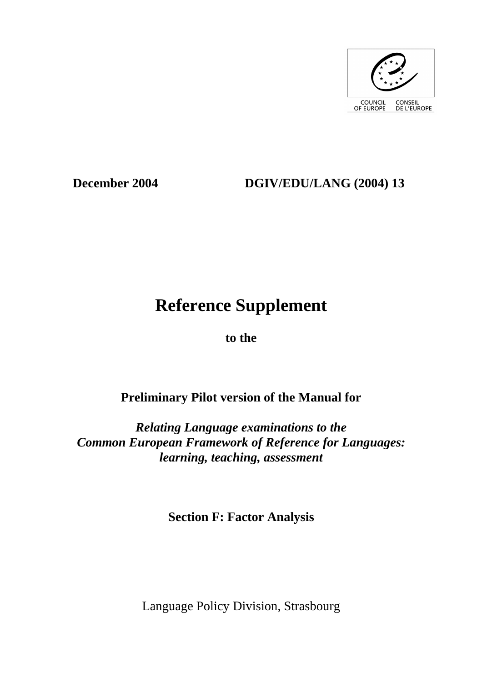

## **December 2004 DGIV/EDU/LANG (2004) 13**

# **Reference Supplement**

**to the** 

## **Preliminary Pilot version of the Manual for**

*Relating Language examinations to the Common European Framework of Reference for Languages: learning, teaching, assessment* 

**Section F: Factor Analysis** 

Language Policy Division, Strasbourg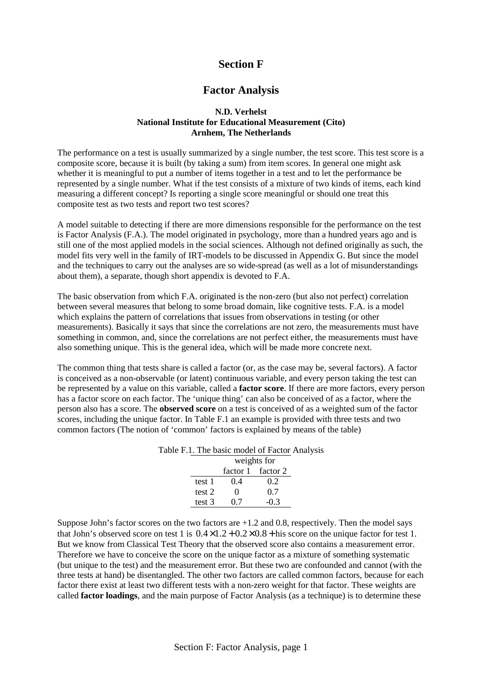### **Section F**

#### **Factor Analysis**

#### **N.D. Verhelst National Institute for Educational Measurement (Cito) Arnhem, The Netherlands**

The performance on a test is usually summarized by a single number, the test score. This test score is a composite score, because it is built (by taking a sum) from item scores. In general one might ask whether it is meaningful to put a number of items together in a test and to let the performance be represented by a single number. What if the test consists of a mixture of two kinds of items, each kind measuring a different concept? Is reporting a single score meaningful or should one treat this composite test as two tests and report two test scores?

A model suitable to detecting if there are more dimensions responsible for the performance on the test is Factor Analysis (F.A.). The model originated in psychology, more than a hundred years ago and is still one of the most applied models in the social sciences. Although not defined originally as such, the model fits very well in the family of IRT-models to be discussed in Appendix G. But since the model and the techniques to carry out the analyses are so wide-spread (as well as a lot of misunderstandings about them), a separate, though short appendix is devoted to F.A.

The basic observation from which F.A. originated is the non-zero (but also not perfect) correlation between several measures that belong to some broad domain, like cognitive tests. F.A. is a model which explains the pattern of correlations that issues from observations in testing (or other measurements). Basically it says that since the correlations are not zero, the measurements must have something in common, and, since the correlations are not perfect either, the measurements must have also something unique. This is the general idea, which will be made more concrete next.

The common thing that tests share is called a factor (or, as the case may be, several factors). A factor is conceived as a non-observable (or latent) continuous variable, and every person taking the test can be represented by a value on this variable, called a **factor score**. If there are more factors, every person has a factor score on each factor. The 'unique thing' can also be conceived of as a factor, where the person also has a score. The **observed score** on a test is conceived of as a weighted sum of the factor scores, including the unique factor. In Table F.1 an example is provided with three tests and two common factors (The notion of 'common' factors is explained by means of the table)

| THE DRIVE HOUGH OF FRONT TH |        |                   |                   |  |  |  |  |
|-----------------------------|--------|-------------------|-------------------|--|--|--|--|
|                             |        | weights for       |                   |  |  |  |  |
|                             |        |                   | factor 1 factor 2 |  |  |  |  |
|                             | test 1 | 0.4               | 0.2               |  |  |  |  |
|                             | test 2 | $\mathbf{\Omega}$ | 0.7               |  |  |  |  |
|                             | test 3 | (1.7)             | -03               |  |  |  |  |

Table F.1. The basic model of Factor Analysis

Suppose John's factor scores on the two factors are  $+1.2$  and 0.8, respectively. Then the model says that John's observed score on test 1 is  $0.4 \times 1.2 + 0.2 \times 0.8 +$  his score on the unique factor for test 1. But we know from Classical Test Theory that the observed score also contains a measurement error. Therefore we have to conceive the score on the unique factor as a mixture of something systematic (but unique to the test) and the measurement error. But these two are confounded and cannot (with the three tests at hand) be disentangled. The other two factors are called common factors, because for each factor there exist at least two different tests with a non-zero weight for that factor. These weights are called **factor loadings**, and the main purpose of Factor Analysis (as a technique) is to determine these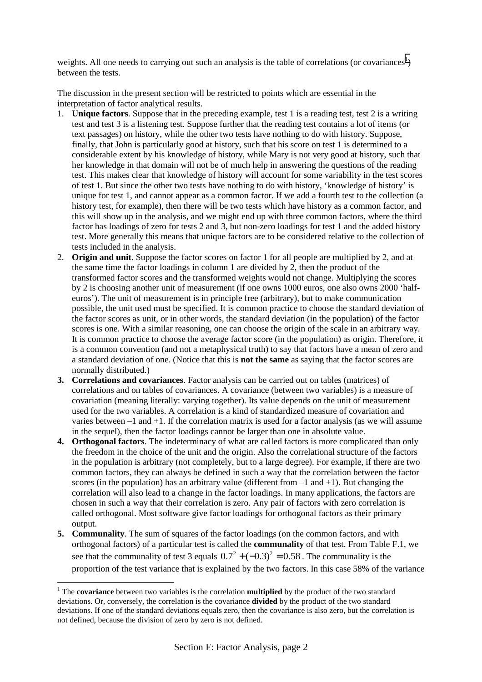weights. All one needs to carrying out such an analysis is the table of correlations (or covariances<sup>1</sup>) between the tests.

The discussion in the present section will be restricted to points which are essential in the interpretation of factor analytical results.

- 1. **Unique factors**. Suppose that in the preceding example, test 1 is a reading test, test 2 is a writing test and test 3 is a listening test. Suppose further that the reading test contains a lot of items (or text passages) on history, while the other two tests have nothing to do with history. Suppose, finally, that John is particularly good at history, such that his score on test 1 is determined to a considerable extent by his knowledge of history, while Mary is not very good at history, such that her knowledge in that domain will not be of much help in answering the questions of the reading test. This makes clear that knowledge of history will account for some variability in the test scores of test 1. But since the other two tests have nothing to do with history, 'knowledge of history' is unique for test 1, and cannot appear as a common factor. If we add a fourth test to the collection (a history test, for example), then there will be two tests which have history as a common factor, and this will show up in the analysis, and we might end up with three common factors, where the third factor has loadings of zero for tests 2 and 3, but non-zero loadings for test 1 and the added history test. More generally this means that unique factors are to be considered relative to the collection of tests included in the analysis.
- 2. **Origin and unit**. Suppose the factor scores on factor 1 for all people are multiplied by 2, and at the same time the factor loadings in column 1 are divided by 2, then the product of the transformed factor scores and the transformed weights would not change. Multiplying the scores by 2 is choosing another unit of measurement (if one owns 1000 euros, one also owns 2000 'halfeuros'). The unit of measurement is in principle free (arbitrary), but to make communication possible, the unit used must be specified. It is common practice to choose the standard deviation of the factor scores as unit, or in other words, the standard deviation (in the population) of the factor scores is one. With a similar reasoning, one can choose the origin of the scale in an arbitrary way. It is common practice to choose the average factor score (in the population) as origin. Therefore, it is a common convention (and not a metaphysical truth) to say that factors have a mean of zero and a standard deviation of one. (Notice that this is **not the same** as saying that the factor scores are normally distributed.)
- **3. Correlations and covariances**. Factor analysis can be carried out on tables (matrices) of correlations and on tables of covariances. A covariance (between two variables) is a measure of covariation (meaning literally: varying together). Its value depends on the unit of measurement used for the two variables. A correlation is a kind of standardized measure of covariation and varies between –1 and +1. If the correlation matrix is used for a factor analysis (as we will assume in the sequel), then the factor loadings cannot be larger than one in absolute value.
- **4. Orthogonal factors**. The indeterminacy of what are called factors is more complicated than only the freedom in the choice of the unit and the origin. Also the correlational structure of the factors in the population is arbitrary (not completely, but to a large degree). For example, if there are two common factors, they can always be defined in such a way that the correlation between the factor scores (in the population) has an arbitrary value (different from  $-1$  and  $+1$ ). But changing the correlation will also lead to a change in the factor loadings. In many applications, the factors are chosen in such a way that their correlation is zero. Any pair of factors with zero correlation is called orthogonal. Most software give factor loadings for orthogonal factors as their primary output.
- **5. Communality**. The sum of squares of the factor loadings (on the common factors, and with orthogonal factors) of a particular test is called the **communality** of that test. From Table F.1, we see that the communality of test 3 equals  $0.7^2 + (-0.3)^2 = 0.58$ . The communality is the proportion of the test variance that is explained by the two factors. In this case 58% of the variance

 $\overline{a}$ 

<sup>&</sup>lt;sup>1</sup> The **covariance** between two variables is the correlation **multiplied** by the product of the two standard deviations. Or, conversely, the correlation is the covariance **divided** by the product of the two standard deviations. If one of the standard deviations equals zero, then the covariance is also zero, but the correlation is not defined, because the division of zero by zero is not defined.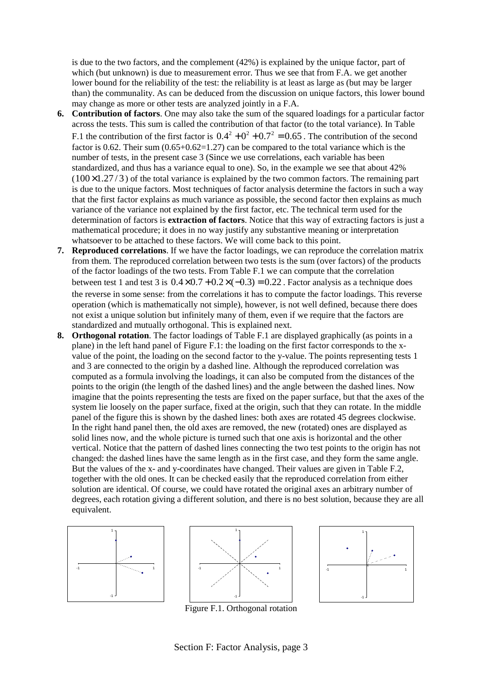is due to the two factors, and the complement (42%) is explained by the unique factor, part of which (but unknown) is due to measurement error. Thus we see that from F.A. we get another lower bound for the reliability of the test: the reliability is at least as large as (but may be larger than) the communality. As can be deduced from the discussion on unique factors, this lower bound may change as more or other tests are analyzed jointly in a F.A.

- **6. Contribution of factors**. One may also take the sum of the squared loadings for a particular factor across the tests. This sum is called the contribution of that factor (to the total variance). In Table F.1 the contribution of the first factor is  $0.4^2 + 0^2 + 0.7^2 = 0.65$ . The contribution of the second factor is 0.62. Their sum  $(0.65+0.62=1.27)$  can be compared to the total variance which is the number of tests, in the present case 3 (Since we use correlations, each variable has been standardized, and thus has a variance equal to one). So, in the example we see that about 42%  $(100 \times 1.27 / 3)$  of the total variance is explained by the two common factors. The remaining part is due to the unique factors. Most techniques of factor analysis determine the factors in such a way that the first factor explains as much variance as possible, the second factor then explains as much variance of the variance not explained by the first factor, etc. The technical term used for the determination of factors is **extraction of factors**. Notice that this way of extracting factors is just a mathematical procedure; it does in no way justify any substantive meaning or interpretation whatsoever to be attached to these factors. We will come back to this point.
- **7. Reproduced correlations**. If we have the factor loadings, we can reproduce the correlation matrix from them. The reproduced correlation between two tests is the sum (over factors) of the products of the factor loadings of the two tests. From Table F.1 we can compute that the correlation between test 1 and test 3 is  $0.4 \times 0.7 + 0.2 \times (-0.3) = 0.22$ . Factor analysis as a technique does the reverse in some sense: from the correlations it has to compute the factor loadings. This reverse operation (which is mathematically not simple), however, is not well defined, because there does not exist a unique solution but infinitely many of them, even if we require that the factors are standardized and mutually orthogonal. This is explained next.
- **8. Orthogonal rotation**. The factor loadings of Table F.1 are displayed graphically (as points in a plane) in the left hand panel of Figure F.1: the loading on the first factor corresponds to the xvalue of the point, the loading on the second factor to the y-value. The points representing tests 1 and 3 are connected to the origin by a dashed line. Although the reproduced correlation was computed as a formula involving the loadings, it can also be computed from the distances of the points to the origin (the length of the dashed lines) and the angle between the dashed lines. Now imagine that the points representing the tests are fixed on the paper surface, but that the axes of the system lie loosely on the paper surface, fixed at the origin, such that they can rotate. In the middle panel of the figure this is shown by the dashed lines: both axes are rotated 45 degrees clockwise. In the right hand panel then, the old axes are removed, the new (rotated) ones are displayed as solid lines now, and the whole picture is turned such that one axis is horizontal and the other vertical. Notice that the pattern of dashed lines connecting the two test points to the origin has not changed: the dashed lines have the same length as in the first case, and they form the same angle. But the values of the x- and y-coordinates have changed. Their values are given in Table F.2, together with the old ones. It can be checked easily that the reproduced correlation from either solution are identical. Of course, we could have rotated the original axes an arbitrary number of degrees, each rotation giving a different solution, and there is no best solution, because they are all equivalent.







Figure F.1. Orthogonal rotation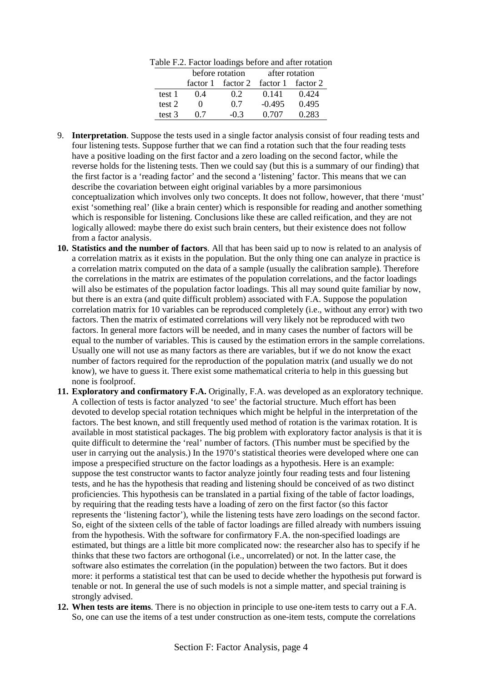| $\alpha$ able 1 $\alpha$ is a contracting between the and the set of $\alpha$ |        |                 |          |                |          |  |  |
|-------------------------------------------------------------------------------|--------|-----------------|----------|----------------|----------|--|--|
|                                                                               |        | before rotation |          | after rotation |          |  |  |
|                                                                               |        | factor 1        | factor 2 | factor 1       | factor 2 |  |  |
|                                                                               | test 1 | (14)            | 02       | 0.141          | 0.424    |  |  |
|                                                                               | test 2 |                 | 0.7      | $-0.495$       | 0.495    |  |  |
|                                                                               | test 3 | 07              | $-03$    | 0.707          | 0.283    |  |  |

Table F.2. Factor loadings before and after rotation

- 9. **Interpretation**. Suppose the tests used in a single factor analysis consist of four reading tests and four listening tests. Suppose further that we can find a rotation such that the four reading tests have a positive loading on the first factor and a zero loading on the second factor, while the reverse holds for the listening tests. Then we could say (but this is a summary of our finding) that the first factor is a 'reading factor' and the second a 'listening' factor. This means that we can describe the covariation between eight original variables by a more parsimonious conceptualization which involves only two concepts. It does not follow, however, that there 'must' exist 'something real' (like a brain center) which is responsible for reading and another something which is responsible for listening. Conclusions like these are called reification, and they are not logically allowed: maybe there do exist such brain centers, but their existence does not follow from a factor analysis.
- **10. Statistics and the number of factors**. All that has been said up to now is related to an analysis of a correlation matrix as it exists in the population. But the only thing one can analyze in practice is a correlation matrix computed on the data of a sample (usually the calibration sample). Therefore the correlations in the matrix are estimates of the population correlations, and the factor loadings will also be estimates of the population factor loadings. This all may sound quite familiar by now, but there is an extra (and quite difficult problem) associated with F.A. Suppose the population correlation matrix for 10 variables can be reproduced completely (i.e., without any error) with two factors. Then the matrix of estimated correlations will very likely not be reproduced with two factors. In general more factors will be needed, and in many cases the number of factors will be equal to the number of variables. This is caused by the estimation errors in the sample correlations. Usually one will not use as many factors as there are variables, but if we do not know the exact number of factors required for the reproduction of the population matrix (and usually we do not know), we have to guess it. There exist some mathematical criteria to help in this guessing but none is foolproof.
- **11. Exploratory and confirmatory F.A.** Originally, F.A. was developed as an exploratory technique. A collection of tests is factor analyzed 'to see' the factorial structure. Much effort has been devoted to develop special rotation techniques which might be helpful in the interpretation of the factors. The best known, and still frequently used method of rotation is the varimax rotation. It is available in most statistical packages. The big problem with exploratory factor analysis is that it is quite difficult to determine the 'real' number of factors. (This number must be specified by the user in carrying out the analysis.) In the 1970's statistical theories were developed where one can impose a prespecified structure on the factor loadings as a hypothesis. Here is an example: suppose the test constructor wants to factor analyze jointly four reading tests and four listening tests, and he has the hypothesis that reading and listening should be conceived of as two distinct proficiencies. This hypothesis can be translated in a partial fixing of the table of factor loadings, by requiring that the reading tests have a loading of zero on the first factor (so this factor represents the 'listening factor'), while the listening tests have zero loadings on the second factor. So, eight of the sixteen cells of the table of factor loadings are filled already with numbers issuing from the hypothesis. With the software for confirmatory F.A. the non-specified loadings are estimated, but things are a little bit more complicated now: the researcher also has to specify if he thinks that these two factors are orthogonal (i.e., uncorrelated) or not. In the latter case, the software also estimates the correlation (in the population) between the two factors. But it does more: it performs a statistical test that can be used to decide whether the hypothesis put forward is tenable or not. In general the use of such models is not a simple matter, and special training is strongly advised.
- **12. When tests are items**. There is no objection in principle to use one-item tests to carry out a F.A. So, one can use the items of a test under construction as one-item tests, compute the correlations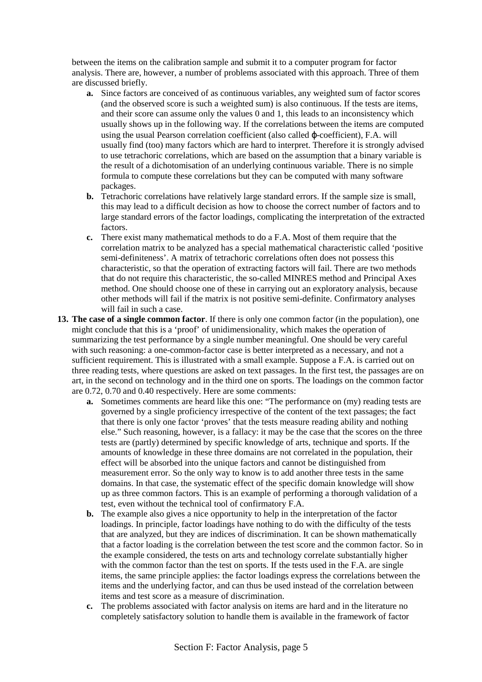between the items on the calibration sample and submit it to a computer program for factor analysis. There are, however, a number of problems associated with this approach. Three of them are discussed briefly.

- **a.** Since factors are conceived of as continuous variables, any weighted sum of factor scores (and the observed score is such a weighted sum) is also continuous. If the tests are items, and their score can assume only the values 0 and 1, this leads to an inconsistency which usually shows up in the following way. If the correlations between the items are computed using the usual Pearson correlation coefficient (also called ϕ-coefficient), F.A. will usually find (too) many factors which are hard to interpret. Therefore it is strongly advised to use tetrachoric correlations, which are based on the assumption that a binary variable is the result of a dichotomisation of an underlying continuous variable. There is no simple formula to compute these correlations but they can be computed with many software packages.
- **b.** Tetrachoric correlations have relatively large standard errors. If the sample size is small, this may lead to a difficult decision as how to choose the correct number of factors and to large standard errors of the factor loadings, complicating the interpretation of the extracted factors.
- **c.** There exist many mathematical methods to do a F.A. Most of them require that the correlation matrix to be analyzed has a special mathematical characteristic called 'positive semi-definiteness'. A matrix of tetrachoric correlations often does not possess this characteristic, so that the operation of extracting factors will fail. There are two methods that do not require this characteristic, the so-called MINRES method and Principal Axes method. One should choose one of these in carrying out an exploratory analysis, because other methods will fail if the matrix is not positive semi-definite. Confirmatory analyses will fail in such a case.
- **13. The case of a single common factor**. If there is only one common factor (in the population), one might conclude that this is a 'proof' of unidimensionality, which makes the operation of summarizing the test performance by a single number meaningful. One should be very careful with such reasoning: a one-common-factor case is better interpreted as a necessary, and not a sufficient requirement. This is illustrated with a small example. Suppose a F.A. is carried out on three reading tests, where questions are asked on text passages. In the first test, the passages are on art, in the second on technology and in the third one on sports. The loadings on the common factor are 0.72, 0.70 and 0.40 respectively. Here are some comments:
	- **a.** Sometimes comments are heard like this one: "The performance on (my) reading tests are governed by a single proficiency irrespective of the content of the text passages; the fact that there is only one factor 'proves' that the tests measure reading ability and nothing else." Such reasoning, however, is a fallacy: it may be the case that the scores on the three tests are (partly) determined by specific knowledge of arts, technique and sports. If the amounts of knowledge in these three domains are not correlated in the population, their effect will be absorbed into the unique factors and cannot be distinguished from measurement error. So the only way to know is to add another three tests in the same domains. In that case, the systematic effect of the specific domain knowledge will show up as three common factors. This is an example of performing a thorough validation of a test, even without the technical tool of confirmatory F.A.
	- **b.** The example also gives a nice opportunity to help in the interpretation of the factor loadings. In principle, factor loadings have nothing to do with the difficulty of the tests that are analyzed, but they are indices of discrimination. It can be shown mathematically that a factor loading is the correlation between the test score and the common factor. So in the example considered, the tests on arts and technology correlate substantially higher with the common factor than the test on sports. If the tests used in the F.A. are single items, the same principle applies: the factor loadings express the correlations between the items and the underlying factor, and can thus be used instead of the correlation between items and test score as a measure of discrimination.
	- **c.** The problems associated with factor analysis on items are hard and in the literature no completely satisfactory solution to handle them is available in the framework of factor